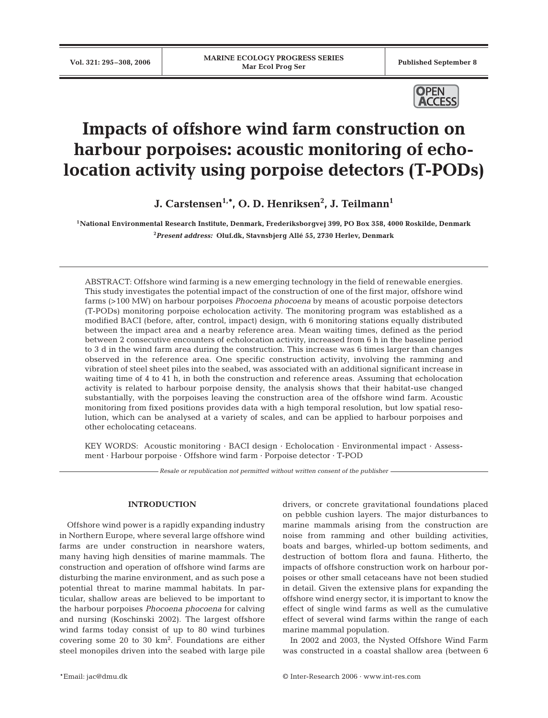

# **Impacts of offshore wind farm construction on harbour porpoises: acoustic monitoring of echolocation activity using porpoise detectors (T-PODs)**

**J. Carstensen1,\*, O. D. Henriksen2 , J. Teilmann1**

**1National Environmental Research Institute, Denmark, Frederiksborgvej 399, PO Box 358, 4000 Roskilde, Denmark 2** *Present address:* **Oluf.dk, Stavnsbjerg Allé 55, 2730 Herlev, Denmark**

ABSTRACT: Offshore wind farming is a new emerging technology in the field of renewable energies. This study investigates the potential impact of the construction of one of the first major, offshore wind farms (>100 MW) on harbour porpoises *Phocoena phocoena* by means of acoustic porpoise detectors (T-PODs) monitoring porpoise echolocation activity. The monitoring program was established as a modified BACI (before, after, control, impact) design, with 6 monitoring stations equally distributed between the impact area and a nearby reference area. Mean waiting times, defined as the period between 2 consecutive encounters of echolocation activity, increased from 6 h in the baseline period to 3 d in the wind farm area during the construction. This increase was 6 times larger than changes observed in the reference area. One specific construction activity, involving the ramming and vibration of steel sheet piles into the seabed, was associated with an additional significant increase in waiting time of 4 to 41 h, in both the construction and reference areas. Assuming that echolocation activity is related to harbour porpoise density, the analysis shows that their habitat-use changed substantially, with the porpoises leaving the construction area of the offshore wind farm. Acoustic monitoring from fixed positions provides data with a high temporal resolution, but low spatial resolution, which can be analysed at a variety of scales, and can be applied to harbour porpoises and other echolocating cetaceans.

KEY WORDS: Acoustic monitoring · BACI design · Echolocation · Environmental impact · Assessment · Harbour porpoise · Offshore wind farm · Porpoise detector · T-POD

*Resale or republication not permitted without written consent of the publisher*

# **INTRODUCTION**

Offshore wind power is a rapidly expanding industry in Northern Europe, where several large offshore wind farms are under construction in nearshore waters, many having high densities of marine mammals. The construction and operation of offshore wind farms are disturbing the marine environment, and as such pose a potential threat to marine mammal habitats. In particular, shallow areas are believed to be important to the harbour porpoises *Phocoena phocoena* for calving and nursing (Koschinski 2002). The largest offshore wind farms today consist of up to 80 wind turbines covering some  $20$  to  $30 \text{ km}^2$ . Foundations are either steel monopiles driven into the seabed with large pile

drivers, or concrete gravitational foundations placed on pebble cushion layers. The major disturbances to marine mammals arising from the construction are noise from ramming and other building activities, boats and barges, whirled-up bottom sediments, and destruction of bottom flora and fauna. Hitherto, the impacts of offshore construction work on harbour porpoises or other small cetaceans have not been studied in detail. Given the extensive plans for expanding the offshore wind energy sector, it is important to know the effect of single wind farms as well as the cumulative effect of several wind farms within the range of each marine mammal population.

In 2002 and 2003, the Nysted Offshore Wind Farm was constructed in a coastal shallow area (between 6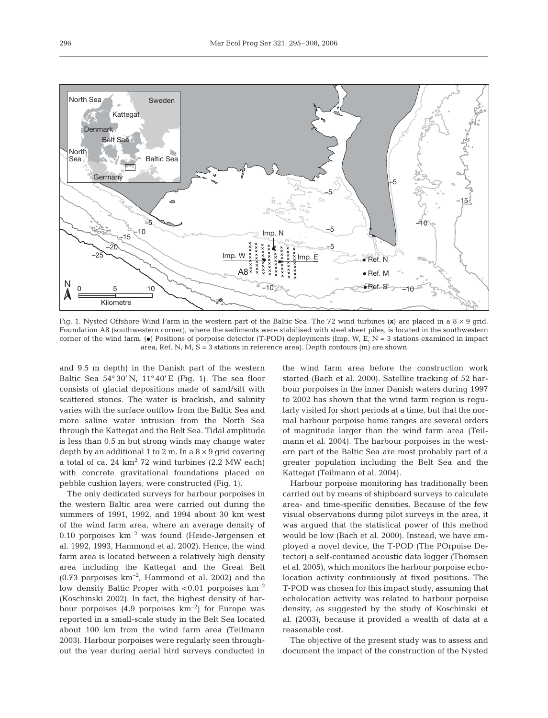

Fig. 1. Nysted Offshore Wind Farm in the western part of the Baltic Sea. The 72 wind turbines (**x**) are placed in a 8 × 9 grid. Foundation A8 (southwestern corner), where the sediments were stabilised with steel sheet piles, is located in the southwestern corner of the wind farm. ( $\bullet$ ) Positions of porpoise detector (T-POD) deployments (Imp. W, E, N = 3 stations examined in impact area, Ref. N,  $M$ ,  $S = 3$  stations in reference area). Depth contours (m) are shown

and 9.5 m depth) in the Danish part of the western Baltic Sea  $54^{\circ}30'$  N,  $11^{\circ}40'$  E (Fig. 1). The sea floor consists of glacial depositions made of sand/silt with scattered stones. The water is brackish, and salinity varies with the surface outflow from the Baltic Sea and more saline water intrusion from the North Sea through the Kattegat and the Belt Sea. Tidal amplitude is less than 0.5 m but strong winds may change water depth by an additional 1 to 2 m. In a  $8 \times 9$  grid covering a total of ca. 24  $km^2$  72 wind turbines (2.2 MW each) with concrete gravitational foundations placed on pebble cushion layers, were constructed (Fig. 1).

The only dedicated surveys for harbour porpoises in the western Baltic area were carried out during the summers of 1991, 1992, and 1994 about 30 km west of the wind farm area, where an average density of 0.10 porpoises  $km^{-2}$  was found (Heide-Jørgensen et al. 1992, 1993, Hammond et al. 2002). Hence, the wind farm area is located between a relatively high density area including the Kattegat and the Great Belt  $(0.73 \text{ porpoises } km^{-2}$ , Hammond et al. 2002) and the low density Baltic Proper with  $< 0.01$  porpoises  $km^{-2}$ (Koschinski 2002). In fact, the highest density of harbour porpoises  $(4.9 \text{~porpoises~km}^{-2})$  for Europe was reported in a small-scale study in the Belt Sea located about 100 km from the wind farm area (Teilmann 2003). Harbour porpoises were regularly seen throughout the year during aerial bird surveys conducted in the wind farm area before the construction work started (Bach et al. 2000). Satellite tracking of 52 harbour porpoises in the inner Danish waters during 1997 to 2002 has shown that the wind farm region is regularly visited for short periods at a time, but that the normal harbour porpoise home ranges are several orders of magnitude larger than the wind farm area (Teilmann et al. 2004). The harbour porpoises in the western part of the Baltic Sea are most probably part of a greater population including the Belt Sea and the Kattegat (Teilmann et al. 2004).

Harbour porpoise monitoring has traditionally been carried out by means of shipboard surveys to calculate area- and time-specific densities. Because of the few visual observations during pilot surveys in the area, it was argued that the statistical power of this method would be low (Bach et al. 2000). Instead, we have employed a novel device, the T-POD (The POrpoise Detector) a self-contained acoustic data logger (Thomsen et al. 2005), which monitors the harbour porpoise echolocation activity continuously at fixed positions. The T-POD was chosen for this impact study, assuming that echolocation activity was related to harbour porpoise density, as suggested by the study of Koschinski et al. (2003), because it provided a wealth of data at a reasonable cost.

The objective of the present study was to assess and document the impact of the construction of the Nysted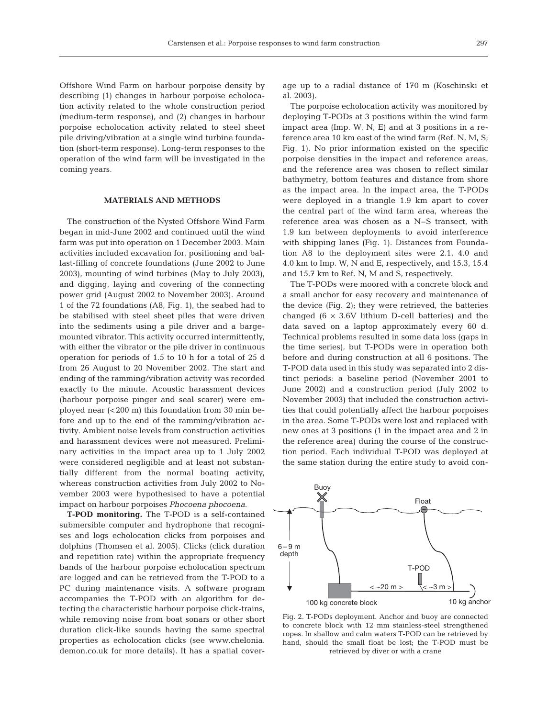Offshore Wind Farm on harbour porpoise density by describing (1) changes in harbour porpoise echolocation activity related to the whole construction period (medium-term response), and (2) changes in harbour porpoise echolocation activity related to steel sheet pile driving/vibration at a single wind turbine foundation (short-term response). Long-term responses to the operation of the wind farm will be investigated in the coming years.

## **MATERIALS AND METHODS**

The construction of the Nysted Offshore Wind Farm began in mid-June 2002 and continued until the wind farm was put into operation on 1 December 2003. Main activities included excavation for, positioning and ballast-filling of concrete foundations (June 2002 to June 2003), mounting of wind turbines (May to July 2003), and digging, laying and covering of the connecting power grid (August 2002 to November 2003). Around 1 of the 72 foundations (A8, Fig. 1), the seabed had to be stabilised with steel sheet piles that were driven into the sediments using a pile driver and a bargemounted vibrator. This activity occurred intermittently, with either the vibrator or the pile driver in continuous operation for periods of 1.5 to 10 h for a total of 25 d from 26 August to 20 November 2002. The start and ending of the ramming/vibration activity was recorded exactly to the minute. Acoustic harassment devices (harbour porpoise pinger and seal scarer) were employed near (< 200 m) this foundation from 30 min before and up to the end of the ramming/vibration activity. Ambient noise levels from construction activities and harassment devices were not measured. Preliminary activities in the impact area up to 1 July 2002 were considered negligible and at least not substantially different from the normal boating activity, whereas construction activities from July 2002 to November 2003 were hypothesised to have a potential impact on harbour porpoises *Phocoena phocoena*.

**T-POD monitoring.** The T-POD is a self-contained submersible computer and hydrophone that recognises and logs echolocation clicks from porpoises and dolphins (Thomsen et al. 2005). Clicks (click duration and repetition rate) within the appropriate frequency bands of the harbour porpoise echolocation spectrum are logged and can be retrieved from the T-POD to a PC during maintenance visits. A software program accompanies the T-POD with an algorithm for detecting the characteristic harbour porpoise click-trains, while removing noise from boat sonars or other short duration click-like sounds having the same spectral properties as echolocation clicks (see www.chelonia. demon.co.uk for more details). It has a spatial cover-

age up to a radial distance of 170 m (Koschinski et al. 2003).

The porpoise echolocation activity was monitored by deploying T-PODs at 3 positions within the wind farm impact area (Imp. W, N, E) and at 3 positions in a reference area 10 km east of the wind farm (Ref. N, M, S; Fig. 1). No prior information existed on the specific porpoise densities in the impact and reference areas, and the reference area was chosen to reflect similar bathymetry, bottom features and distance from shore as the impact area. In the impact area, the T-PODs were deployed in a triangle 1.9 km apart to cover the central part of the wind farm area, whereas the reference area was chosen as a N–S transect, with 1.9 km between deployments to avoid interference with shipping lanes (Fig. 1). Distances from Foundation A8 to the deployment sites were 2.1, 4.0 and 4.0 km to Imp. W, N and E, respectively, and 15.3, 15.4 and 15.7 km to Ref. N, M and S, respectively.

The T-PODs were moored with a concrete block and a small anchor for easy recovery and maintenance of the device (Fig. 2); they were retrieved, the batteries changed  $(6 \times 3.6V)$  lithium D-cell batteries) and the data saved on a laptop approximately every 60 d. Technical problems resulted in some data loss (gaps in the time series), but T-PODs were in operation both before and during construction at all 6 positions. The T-POD data used in this study was separated into 2 distinct periods: a baseline period (November 2001 to June 2002) and a construction period (July 2002 to November 2003) that included the construction activities that could potentially affect the harbour porpoises in the area. Some T-PODs were lost and replaced with new ones at 3 positions (1 in the impact area and 2 in the reference area) during the course of the construction period. Each individual T-POD was deployed at the same station during the entire study to avoid con-



Fig. 2. T-PODs deployment. Anchor and buoy are connected to concrete block with 12 mm stainless-steel strengthened ropes. In shallow and calm waters T-POD can be retrieved by hand, should the small float be lost; the T-POD must be retrieved by diver or with a crane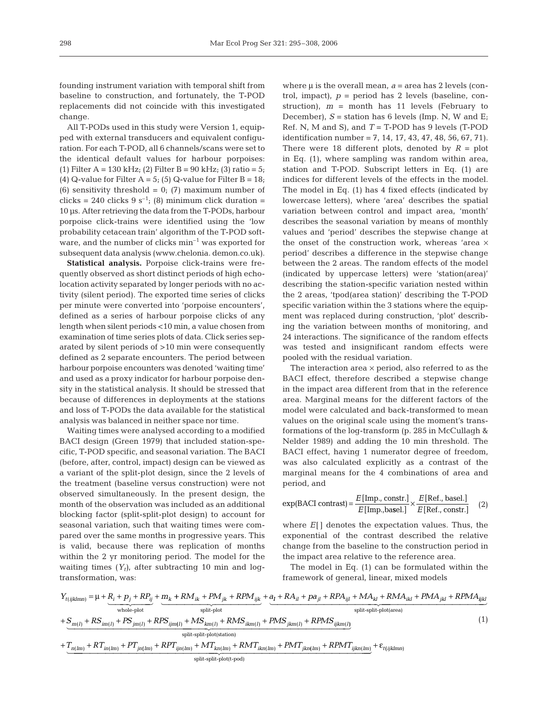founding instrument variation with temporal shift from baseline to construction, and fortunately, the T-POD replacements did not coincide with this investigated change.

All T-PODs used in this study were Version 1, equipped with external transducers and equivalent configuration. For each T-POD, all 6 channels/scans were set to the identical default values for harbour porpoises: (1) Filter A = 130 kHz; (2) Filter B = 90 kHz; (3) ratio =  $5$ ; (4) Q-value for Filter  $A = 5$ ; (5) Q-value for Filter  $B = 18$ ; (6) sensitivity threshold = 0; (7) maximum number of clicks = 240 clicks  $9 s^{-1}$ ; (8) minimum click duration = 10 μs. After retrieving the data from the T-PODs, harbour porpoise click-trains were identified using the 'low probability cetacean train' algorithm of the T-POD software, and the number of clicks min–1 was exported for subsequent data analysis (www.chelonia. demon.co.uk).

**Statistical analysis.** Porpoise click-trains were frequently observed as short distinct periods of high echolocation activity separated by longer periods with no activity (silent period). The exported time series of clicks per minute were converted into 'porpoise encounters', defined as a series of harbour porpoise clicks of any length when silent periods <10 min, a value chosen from examination of time series plots of data. Click series separated by silent periods of >10 min were consequently defined as 2 separate encounters. The period between harbour porpoise encounters was denoted 'waiting time' and used as a proxy indicator for harbour porpoise density in the statistical analysis. It should be stressed that because of differences in deployments at the stations and loss of T-PODs the data available for the statistical analysis was balanced in neither space nor time.

Waiting times were analysed according to a modified BACI design (Green 1979) that included station-specific, T-POD specific, and seasonal variation. The BACI (before, after, control, impact) design can be viewed as a variant of the split-plot design, since the 2 levels of the treatment (baseline versus construction) were not observed simultaneously. In the present design, the month of the observation was included as an additional blocking factor (split-split-plot design) to account for seasonal variation, such that waiting times were compared over the same months in progressive years. This is valid, because there was replication of months within the 2 yr monitoring period. The model for the waiting times  $(Y_t)$ , after subtracting 10 min and logtransformation, was:

where μ is the overall mean, *a* = area has 2 levels (control, impact),  $p =$  period has 2 levels (baseline, construction),  $m =$  month has 11 levels (February to December),  $S =$  station has 6 levels (Imp. N, W and E<sub>i</sub> Ref. N, M and S), and *T* = T-POD has 9 levels (T-POD identification number =  $7, 14, 17, 43, 47, 48, 56, 67, 71$ . There were 18 different plots, denoted by  $R = plot$ in Eq. (1), where sampling was random within area, station and T-POD. Subscript letters in Eq. (1) are indices for different levels of the effects in the model. The model in Eq. (1) has 4 fixed effects (indicated by lowercase letters), where 'area' describes the spatial variation between control and impact area, 'month' describes the seasonal variation by means of monthly values and 'period' describes the stepwise change at the onset of the construction work, whereas 'area × period' describes a difference in the stepwise change between the 2 areas. The random effects of the model (indicated by uppercase letters) were 'station(area)' describing the station-specific variation nested within the 2 areas, 'tpod(area station)' describing the T-POD specific variation within the 3 stations where the equipment was replaced during construction, 'plot' describing the variation between months of monitoring, and 24 interactions. The significance of the random effects was tested and insignificant random effects were pooled with the residual variation.

The interaction area  $\times$  period, also referred to as the BACI effect, therefore described a stepwise change in the impact area different from that in the reference area. Marginal means for the different factors of the model were calculated and back-transformed to mean values on the original scale using the moment's transformations of the log-transform (p. 285 in McCullagh & Nelder 1989) and adding the 10 min threshold. The BACI effect, having 1 numerator degree of freedom, was also calculated explicitly as a contrast of the marginal means for the 4 combinations of area and period, and

$$
\exp(\text{BACI contrast}) = \frac{E[\text{Imp., constr.}]}{E[\text{Imp., basel.}]} \times \frac{E[\text{Ref., basel.}]}{E[\text{Ref., constr.}]} \quad (2)
$$

where *E*[ ] denotes the expectation values. Thus, the exponential of the contrast described the relative change from the baseline to the construction period in the impact area relative to the reference area.

The model in Eq. (1) can be formulated within the framework of general, linear, mixed models

$$
Y_{t(ijklmn)} = \mu + \underbrace{R_i + p_j + RP_j}_{\text{whole-plot}} + \underbrace{m_k + RM_{ik} + PM_{jk} + RPM_{ijk}}_{\text{split-plot}} + \underbrace{a_i + RA_{il} + pa_{jl} + RPA_{ijl} + MA_{kl} + RMA_{ikl} + PMA_{jkl} + PMA_{jkl} + RMA_{jkl}}_{\text{split-plot(area)}}
$$
\n
$$
+ \underbrace{S_{m(l)} + RS_{im(l)} + PS_{jm(l)} + RPS_{ijm(l)} + M S_{km(l)} + RMS_{ikm(l)} + PMS_{jkm(l)} + RPM S_{ijkm(l)}
$$
\n
$$
+ T_{n(lm)} + RT_{in(lm)} + PT_{jn(lm)} + RPT_{ijn(lm)} + M T_{kn(lm)} + RMT_{ikn(lm)} + PMT_{jkn(lm)} + RPM T_{ijkm(lm)} + \varepsilon_{t(ijklmn)}
$$
\n
$$
(1)
$$

split-split-plot(t-pod)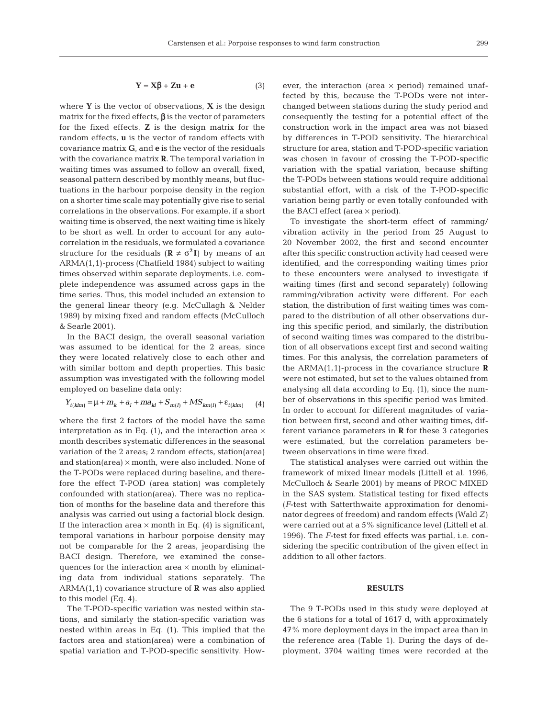where **Y** is the vector of observations, **X** is the design matrix for the fixed effects,  $\beta$  is the vector of parameters for the fixed effects, **Z** is the design matrix for the random effects, **u** is the vector of random effects with covariance matrix **G**, and **e** is the vector of the residuals with the covariance matrix **R**. The temporal variation in waiting times was assumed to follow an overall, fixed, seasonal pattern described by monthly means, but fluctuations in the harbour porpoise density in the region on a shorter time scale may potentially give rise to serial correlations in the observations. For example, if a short waiting time is observed, the next waiting time is likely to be short as well. In order to account for any autocorrelation in the residuals, we formulated a covariance structure for the residuals  $(\mathbf{R} \neq \sigma^2 \mathbf{I})$  by means of an ARMA(1,1)-process (Chatfield 1984) subject to waiting times observed within separate deployments, i.e. complete independence was assumed across gaps in the time series. Thus, this model included an extension to the general linear theory (e.g. McCullagh & Nelder 1989) by mixing fixed and random effects (McCulloch & Searle 2001).

In the BACI design, the overall seasonal variation was assumed to be identical for the 2 areas, since they were located relatively close to each other and with similar bottom and depth properties. This basic assumption was investigated with the following model employed on baseline data only:

$$
Y_{t(klm)} = \mu + m_k + a_l + m a_{kl} + S_{m(l)} + MS_{km(l)} + \varepsilon_{t(klm)} \tag{4}
$$

where the first 2 factors of the model have the same interpretation as in Eq. (1), and the interaction area  $\times$ month describes systematic differences in the seasonal variation of the 2 areas; 2 random effects, station(area) and station(area) × month, were also included. None of the T-PODs were replaced during baseline, and therefore the effect T-POD (area station) was completely confounded with station(area). There was no replication of months for the baseline data and therefore this analysis was carried out using a factorial block design. If the interaction area  $\times$  month in Eq. (4) is significant, temporal variations in harbour porpoise density may not be comparable for the 2 areas, jeopardising the BACI design. Therefore, we examined the consequences for the interaction area  $\times$  month by eliminating data from individual stations separately. The ARMA(1,1) covariance structure of **R** was also applied to this model (Eq. 4).

The T-POD-specific variation was nested within stations, and similarly the station-specific variation was nested within areas in Eq. (1). This implied that the factors area and station(area) were a combination of spatial variation and T-POD-specific sensitivity. However, the interaction (area  $\times$  period) remained unaffected by this, because the T-PODs were not interchanged between stations during the study period and consequently the testing for a potential effect of the construction work in the impact area was not biased by differences in T-POD sensitivity. The hierarchical structure for area, station and T-POD-specific variation was chosen in favour of crossing the T-POD-specific variation with the spatial variation, because shifting the T-PODs between stations would require additional substantial effort, with a risk of the T-POD-specific variation being partly or even totally confounded with the BACI effect (area  $\times$  period).

To investigate the short-term effect of ramming/ vibration activity in the period from 25 August to 20 November 2002, the first and second encounter after this specific construction activity had ceased were identified, and the corresponding waiting times prior to these encounters were analysed to investigate if waiting times (first and second separately) following ramming/vibration activity were different. For each station, the distribution of first waiting times was compared to the distribution of all other observations during this specific period, and similarly, the distribution of second waiting times was compared to the distribution of all observations except first and second waiting times. For this analysis, the correlation parameters of the ARMA(1,1)-process in the covariance structure **R** were not estimated, but set to the values obtained from analysing all data according to Eq. (1), since the number of observations in this specific period was limited. In order to account for different magnitudes of variation between first, second and other waiting times, different variance parameters in **R** for these 3 categories were estimated, but the correlation parameters between observations in time were fixed.

The statistical analyses were carried out within the framework of mixed linear models (Littell et al. 1996, McCulloch & Searle 2001) by means of PROC MIXED in the SAS system. Statistical testing for fixed effects (*F*-test with Satterthwaite approximation for denominator degrees of freedom) and random effects (Wald *Z*) were carried out at a 5% significance level (Littell et al. 1996). The *F*-test for fixed effects was partial, i.e. considering the specific contribution of the given effect in addition to all other factors.

#### **RESULTS**

The 9 T-PODs used in this study were deployed at the 6 stations for a total of 1617 d, with approximately 47% more deployment days in the impact area than in the reference area (Table 1). During the days of deployment, 3704 waiting times were recorded at the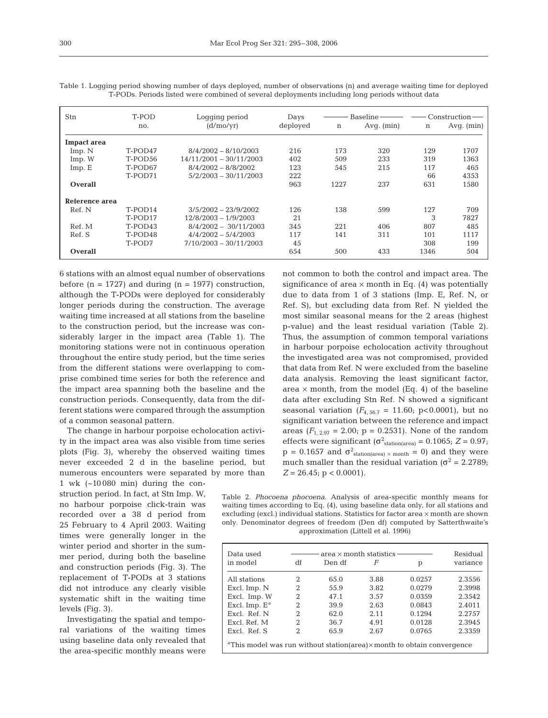| Stn                | T-POD<br>Logging period |                           | Days     |      | Baseline -   | $\mathop{\rm Construction}\nolimits$ |              |
|--------------------|-------------------------|---------------------------|----------|------|--------------|--------------------------------------|--------------|
|                    | no.                     | (d/mo/vr)                 | deployed | n    | Avq. $(min)$ | $\mathbf n$                          | Avq. $(min)$ |
| <b>Impact area</b> |                         |                           |          |      |              |                                      |              |
| Imp. N             | T-POD47                 | $8/4/2002 - 8/10/2003$    | 216      | 173  | 320          | 129                                  | 1707         |
| Imp. W             | T-POD56                 | $14/11/2001 - 30/11/2003$ | 402      | 509  | 233          | 319                                  | 1363         |
| Imp.E              | T-POD67                 | $8/4/2002 - 8/8/2002$     | 123      | 545  | 215          | 117                                  | 465          |
|                    | T-POD71                 | $5/2/2003 - 30/11/2003$   | 222      |      |              | 66                                   | 4353         |
| Overall            |                         |                           | 963      | 1227 | 237          | 631                                  | 1580         |
| Reference area     |                         |                           |          |      |              |                                      |              |
| Ref. N             | T-POD <sub>14</sub>     | $3/5/2002 - 23/9/2002$    | 126      | 138  | 599          | 127                                  | 709          |
|                    | T-POD17                 | $12/8/2003 - 1/9/2003$    | 21       |      |              | 3                                    | 7827         |
| Ref. M             | $T-POD43$               | $8/4/2002 - 30/11/2003$   | 345      | 221  | 406          | 807                                  | 485          |
| Ref. S             | T-POD48                 | $4/4/2002 - 5/4/2003$     | 117      | 141  | 311          | 101                                  | 1117         |
|                    | T-POD7                  | $7/10/2003 - 30/11/2003$  | 45       |      |              | 308                                  | 199          |
| Overall            |                         |                           | 654      | 500  | 433          | 1346                                 | 504          |

Table 1. Logging period showing number of days deployed, number of observations (n) and average waiting time for deployed T-PODs. Periods listed were combined of several deployments including long periods without data

6 stations with an almost equal number of observations before  $(n = 1727)$  and during  $(n = 1977)$  construction, although the T-PODs were deployed for considerably longer periods during the construction. The average waiting time increased at all stations from the baseline to the construction period, but the increase was considerably larger in the impact area (Table 1). The monitoring stations were not in continuous operation throughout the entire study period, but the time series from the different stations were overlapping to comprise combined time series for both the reference and the impact area spanning both the baseline and the construction periods. Consequently, data from the different stations were compared through the assumption of a common seasonal pattern.

The change in harbour porpoise echolocation activity in the impact area was also visible from time series plots (Fig. 3), whereby the observed waiting times never exceeded 2 d in the baseline period, but numerous encounters were separated by more than

1 wk (~10 080 min) during the construction period. In fact, at Stn Imp. W, no harbour porpoise click-train was recorded over a 38 d period from 25 February to 4 April 2003. Waiting times were generally longer in the winter period and shorter in the summer period, during both the baseline and construction periods (Fig. 3). The replacement of T-PODs at 3 stations did not introduce any clearly visible systematic shift in the waiting time levels (Fig. 3).

Investigating the spatial and temporal variations of the waiting times using baseline data only revealed that the area-specific monthly means were

not common to both the control and impact area. The significance of area  $\times$  month in Eq. (4) was potentially due to data from 1 of 3 stations (Imp. E, Ref. N, or Ref. S), but excluding data from Ref. N yielded the most similar seasonal means for the 2 areas (highest p-value) and the least residual variation (Table 2). Thus, the assumption of common temporal variations in harbour porpoise echolocation activity throughout the investigated area was not compromised, provided that data from Ref. N were excluded from the baseline data analysis. Removing the least significant factor, area  $\times$  month, from the model (Eq. 4) of the baseline data after excluding Stn Ref. N showed a significant seasonal variation  $(F_{4, 56.7} = 11.60; \text{ p} < 0.0001)$ , but no significant variation between the reference and impact areas  $(F_{1, 2.97} = 2.00; p = 0.2531)$ . None of the random effects were significant ( $\sigma^2$ <sub>station(area)</sub> = 0.1065; Z = 0.97;  $p = 0.1657$  and  $\sigma^2$ <sub>station(area) × month</sub> = 0) and they were much smaller than the residual variation ( $\sigma^2$  = 2.2789;  $Z = 26.45$ ;  $p < 0.0001$ ).

Table 2. *Phocoena phocoena*. Analysis of area-specific monthly means for waiting times according to Eq. (4), using baseline data only, for all stations and excluding (excl.) individual stations. Statistics for factor area × month are shown only. Denominator degrees of freedom (Den df) computed by Satterthwaite's approximation (Littell et al. 1996)

| Data used                                                                                   |                | Residual |      |        |          |  |  |  |  |
|---------------------------------------------------------------------------------------------|----------------|----------|------|--------|----------|--|--|--|--|
| in model                                                                                    | df             | Den df   | F    |        | variance |  |  |  |  |
| All stations                                                                                | 2              | 65.0     | 3.88 | 0.0257 | 2.3556   |  |  |  |  |
| Excl. Imp. N                                                                                | 2              | 55.9     | 3.82 | 0.0279 | 2.3998   |  |  |  |  |
| Excl. Imp. W                                                                                | 2              | 47.1     | 3.57 | 0.0359 | 2.3542   |  |  |  |  |
| Excl. Imp. $E^a$                                                                            | $\mathfrak{D}$ | 39.9     | 2.63 | 0.0843 | 2.4011   |  |  |  |  |
| Excl. Ref. N                                                                                | 2              | 62.0     | 2.11 | 0.1294 | 2.2757   |  |  |  |  |
| Excl. Ref. M                                                                                | $\mathfrak{D}$ | 36.7     | 4.91 | 0.0128 | 2.3945   |  |  |  |  |
| Excl. Ref. S                                                                                | $\mathfrak{D}$ | 65.9     | 2.67 | 0.0765 | 2.3359   |  |  |  |  |
| <sup>a</sup> This model was run without station (area) $\times$ month to obtain convergence |                |          |      |        |          |  |  |  |  |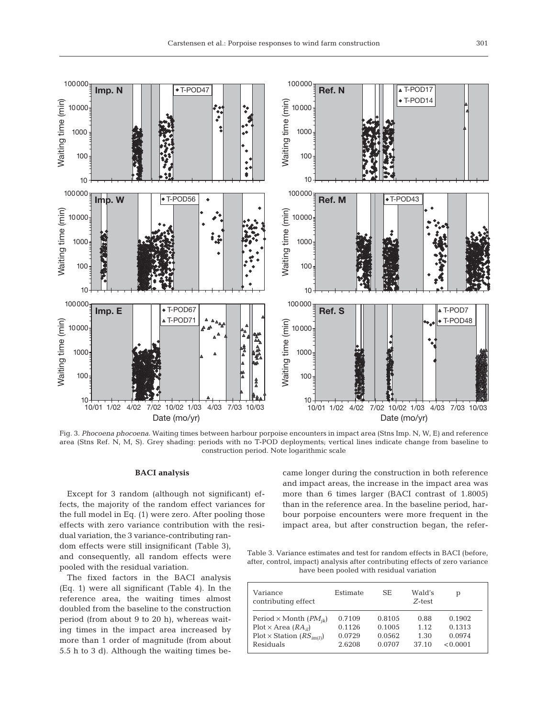

Fig. 3. *Phocoena phocoena*. Waiting times between harbour porpoise encounters in impact area (Stns Imp. N, W, E) and reference area (Stns Ref. N, M, S). Grey shading: periods with no T-POD deployments; vertical lines indicate change from baseline to construction period. Note logarithmic scale

#### **BACI analysis**

Except for 3 random (although not significant) effects, the majority of the random effect variances for the full model in Eq. (1) were zero. After pooling those effects with zero variance contribution with the resi-

came longer during the construction in both reference and impact areas, the increase in the impact area was more than 6 times larger (BACI contrast of 1.8005) than in the reference area. In the baseline period, harbour porpoise encounters were more frequent in the impact area, but after construction began, the refer-

dual variation, the 3 variance-contributing random effects were still insignificant (Table 3), and consequently, all random effects were pooled with the residual variation.

The fixed factors in the BACI analysis (Eq. 1) were all significant (Table 4). In the reference area, the waiting times almost doubled from the baseline to the construction period (from about 9 to 20 h), whereas waiting times in the impact area increased by more than 1 order of magnitude (from about 5.5 h to 3 d). Although the waiting times be-

Table 3. Variance estimates and test for random effects in BACI (before, after, control, impact) analysis after contributing effects of zero variance have been pooled with residual variation

| Variance<br>contributing effect     | Estimate | SЕ     | Wald's<br>Z-test | р        |
|-------------------------------------|----------|--------|------------------|----------|
| Period $\times$ Month ( $PM_{ik}$ ) | 0.7109   | 0.8105 | 0.88             | 0.1902   |
| $Plot \times Area (RA_{il})$        | 0.1126   | 0.1005 | 1.12             | 0.1313   |
| $Plot \times Station (RS_{im(l)})$  | 0.0729   | 0.0562 | 1.30             | 0.0974   |
| Residuals                           | 2.6208   | 0.0707 | 37.10            | < 0.0001 |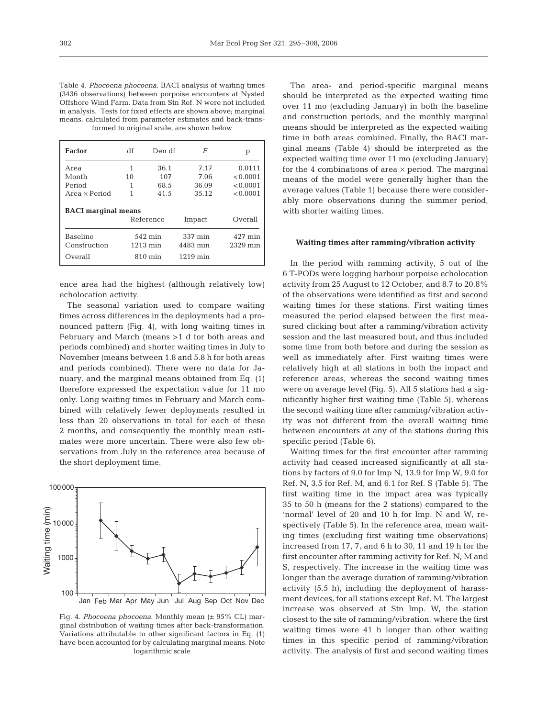Table 4. *Phocoena phocoena*. BACI analysis of waiting times (3436 observations) between porpoise encounters at Nysted Offshore Wind Farm. Data from Stn Ref. N were not included in analysis. Tests for fixed effects are shown above; marginal means, calculated from parameter estimates and back-transformed to original scale, are shown below

| <b>Factor</b>                   | df                            | Den df    | F                   | р                   |
|---------------------------------|-------------------------------|-----------|---------------------|---------------------|
| Area                            | 1                             | 36.1      | 7.17                | 0.0111              |
| Month                           | 10                            | 107       | 7.06                | < 0.0001            |
| Period                          | 1                             | 68.5      | 36.09               | < 0.0001            |
| Area $\times$ Period            | 41.5                          |           | 35.12               | < 0.0001            |
| <b>BACI</b> marginal means      |                               | Reference | Impact              | Overall             |
| <b>Baseline</b><br>Construction | 542 min<br>$1213 \text{ min}$ |           | 337 min<br>4483 min | 427 min<br>2329 min |
| Overall                         |                               | 810 min   | $1219$ min          |                     |

ence area had the highest (although relatively low) echolocation activity.

The seasonal variation used to compare waiting times across differences in the deployments had a pronounced pattern (Fig. 4), with long waiting times in February and March (means >1 d for both areas and periods combined) and shorter waiting times in July to November (means between 1.8 and 5.8 h for both areas and periods combined). There were no data for January, and the marginal means obtained from Eq. (1) therefore expressed the expectation value for 11 mo only. Long waiting times in February and March combined with relatively fewer deployments resulted in less than 20 observations in total for each of these 2 months, and consequently the monthly mean estimates were more uncertain. There were also few observations from July in the reference area because of the short deployment time.



Fig. 4. *Phocoena phocoena*. Monthly mean (± 95% CL) marginal distribution of waiting times after back-transformation. Variations attributable to other significant factors in Eq. (1) have been accounted for by calculating marginal means. Note logarithmic scale

The area- and period-specific marginal means should be interpreted as the expected waiting time over 11 mo (excluding January) in both the baseline and construction periods, and the monthly marginal means should be interpreted as the expected waiting time in both areas combined. Finally, the BACI marginal means (Table 4) should be interpreted as the expected waiting time over 11 mo (excluding January) for the 4 combinations of area  $\times$  period. The marginal means of the model were generally higher than the average values (Table 1) because there were considerably more observations during the summer period, with shorter waiting times.

# **Waiting times after ramming/vibration activity**

In the period with ramming activity, 5 out of the 6 T-PODs were logging harbour porpoise echolocation activity from 25 August to 12 October, and 8.7 to 20.8% of the observations were identified as first and second waiting times for these stations. First waiting times measured the period elapsed between the first measured clicking bout after a ramming/vibration activity session and the last measured bout, and thus included some time from both before and during the session as well as immediately after. First waiting times were relatively high at all stations in both the impact and reference areas, whereas the second waiting times were on average level (Fig. 5). All 5 stations had a significantly higher first waiting time (Table 5), whereas the second waiting time after ramming/vibration activity was not different from the overall waiting time between encounters at any of the stations during this specific period (Table 6).

Waiting times for the first encounter after ramming activity had ceased increased significantly at all stations by factors of 9.0 for Imp N, 13.9 for Imp W, 9.0 for Ref. N, 3.5 for Ref. M, and 6.1 for Ref. S (Table 5). The first waiting time in the impact area was typically 35 to 50 h (means for the 2 stations) compared to the 'normal' level of 20 and 10 h for Imp. N and W, respectively (Table 5). In the reference area, mean waiting times (excluding first waiting time observations) increased from 17, 7, and 6 h to 30, 11 and 19 h for the first encounter after ramming activity for Ref. N, M and S, respectively. The increase in the waiting time was longer than the average duration of ramming/vibration activity (5.5 h), including the deployment of harassment devices, for all stations except Ref. M. The largest increase was observed at Stn Imp. W, the station closest to the site of ramming/vibration, where the first waiting times were 41 h longer than other waiting times in this specific period of ramming/vibration activity. The analysis of first and second waiting times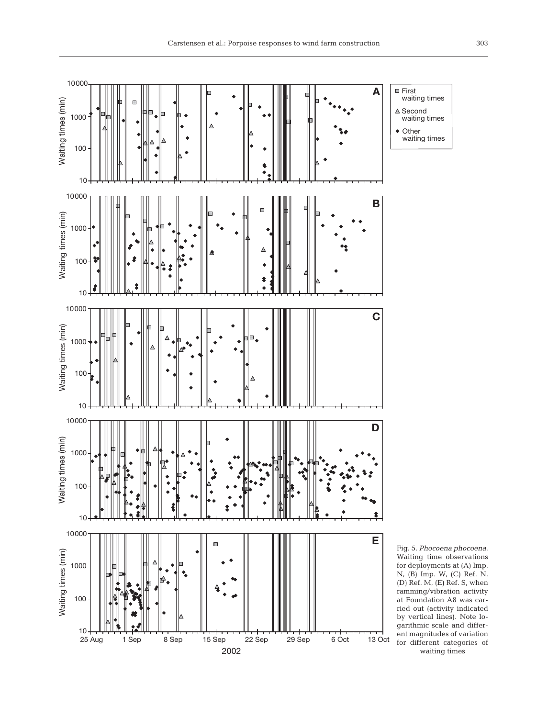

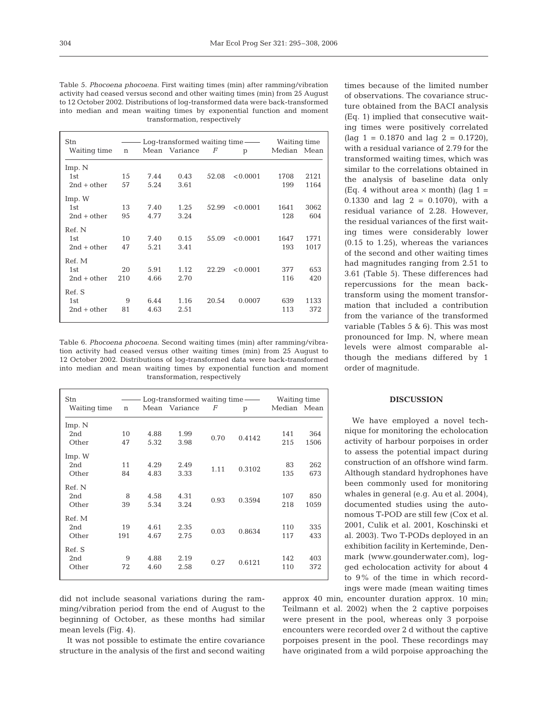| Table 5. Phocoena phocoena. First waiting times (min) after ramming/vibration   |  |  |  |  |  |  |  |  |
|---------------------------------------------------------------------------------|--|--|--|--|--|--|--|--|
| activity had ceased versus second and other waiting times (min) from 25 August  |  |  |  |  |  |  |  |  |
| to 12 October 2002. Distributions of log-transformed data were back-transformed |  |  |  |  |  |  |  |  |
| into median and mean waiting times by exponential function and moment           |  |  |  |  |  |  |  |  |
| transformation, respectively                                                    |  |  |  |  |  |  |  |  |

| Stn<br>Waiting time | $\mathbf n$ |      | $Log-transformed \; waiting \; time \; \_\_$<br>Mean Variance | $\bm{F}$ | p        | Waiting time<br>Median Mean |      |
|---------------------|-------------|------|---------------------------------------------------------------|----------|----------|-----------------------------|------|
| Imp. N              |             |      |                                                               |          |          |                             |      |
| 1st                 | 15          | 7.44 | 0.43                                                          | 52.08    | < 0.0001 | 1708                        | 2121 |
| $2nd + other$       | 57          | 5.24 | 3.61                                                          |          |          | 199                         | 1164 |
| Imp. W              |             |      |                                                               |          |          |                             |      |
| 1st                 | 13          | 7.40 | 1.25                                                          | 52.99    | < 0.0001 | 1641                        | 3062 |
| $2nd + other$       | 95          | 4.77 | 3.24                                                          |          |          | 128                         | 604  |
| Ref. N              |             |      |                                                               |          |          |                             |      |
| 1st                 | 10          | 7.40 | 0.15                                                          | 55.09    | < 0.0001 | 1647                        | 1771 |
| $2nd + other$       | 47          | 5.21 | 3.41                                                          |          |          | 193                         | 1017 |
| Ref. M              |             |      |                                                               |          |          |                             |      |
| 1st                 | 20          | 5.91 | 1.12                                                          | 22.29    | < 0.0001 | 377                         | 653  |
| $2nd + other$       | 210         | 4.66 | 2.70                                                          |          |          | 116                         | 420  |
| Ref. S              |             |      |                                                               |          |          |                             |      |
| 1st                 | 9           | 6.44 | 1.16                                                          | 20.54    | 0.0007   | 639                         | 1133 |
| $2nd + other$       | 81          | 4.63 | 2.51                                                          |          |          | 113                         | 372  |

Table 6. *Phocoena phocoena*. Second waiting times (min) after ramming/vibration activity had ceased versus other waiting times (min) from 25 August to 12 October 2002. Distributions of log-transformed data were back-transformed into median and mean waiting times by exponential function and moment transformation, respectively

| Stn<br>Waiting time    | $\mathbf n$ |              | $Log-transformed$ waiting time —<br>Mean Variance | $\bm{F}$ | p      | Waiting time<br>Median Mean |             |
|------------------------|-------------|--------------|---------------------------------------------------|----------|--------|-----------------------------|-------------|
| Imp. N<br>2nd<br>Other | 10<br>47    | 4.88<br>5.32 | 1.99<br>3.98                                      | 0.70     | 0.4142 | 141<br>215                  | 364<br>1506 |
| Imp. W<br>2nd<br>Other | 11<br>84    | 4.29<br>4.83 | 2.49<br>3.33                                      | 1.11     | 0.3102 | 83<br>135                   | 262<br>673  |
| Ref. N<br>2nd<br>Other | 8<br>39     | 4.58<br>5.34 | 4.31<br>3.24                                      | 0.93     | 0.3594 | 107<br>218                  | 850<br>1059 |
| Ref. M<br>2nd<br>Other | 19<br>191   | 4.61<br>4.67 | 2.35<br>2.75                                      | 0.03     | 0.8634 | 110<br>117                  | 335<br>433  |
| Ref. S<br>2nd<br>Other | 9<br>72     | 4.88<br>4.60 | 2.19<br>2.58                                      | 0.27     | 0.6121 | 142<br>110                  | 403<br>372  |

did not include seasonal variations during the ramming/vibration period from the end of August to the beginning of October, as these months had similar mean levels (Fig. 4).

It was not possible to estimate the entire covariance structure in the analysis of the first and second waiting

times because of the limited number of observations. The covariance structure obtained from the BACI analysis (Eq. 1) implied that consecutive waiting times were positively correlated  $\int \frac{1}{1}$  = 0.1870 and lag 2 = 0.1720), with a residual variance of 2.79 for the transformed waiting times, which was similar to the correlations obtained in the analysis of baseline data only (Eq. 4 without area  $\times$  month) (lag 1 = 0.1330 and lag 2 = 0.1070), with a residual variance of 2.28. However, the residual variances of the first waiting times were considerably lower (0.15 to 1.25), whereas the variances of the second and other waiting times had magnitudes ranging from 2.51 to 3.61 (Table 5). These differences had repercussions for the mean backtransform using the moment transformation that included a contribution from the variance of the transformed variable (Tables 5 & 6). This was most pronounced for Imp. N, where mean levels were almost comparable although the medians differed by 1 order of magnitude.

#### **DISCUSSION**

We have employed a novel technique for monitoring the echolocation activity of harbour porpoises in order to assess the potential impact during construction of an offshore wind farm. Although standard hydrophones have been commonly used for monitoring whales in general (e.g. Au et al. 2004), documented studies using the autonomous T-POD are still few (Cox et al. 2001, Culik et al. 2001, Koschinski et al. 2003). Two T-PODs deployed in an exhibition facility in Kerteminde, Denmark (www.gounderwater.com), logged echolocation activity for about 4 to 9% of the time in which recordings were made (mean waiting times

approx 40 min, encounter duration approx. 10 min; Teilmann et al. 2002) when the 2 captive porpoises were present in the pool, whereas only 3 porpoise encounters were recorded over 2 d without the captive porpoises present in the pool. These recordings may have originated from a wild porpoise approaching the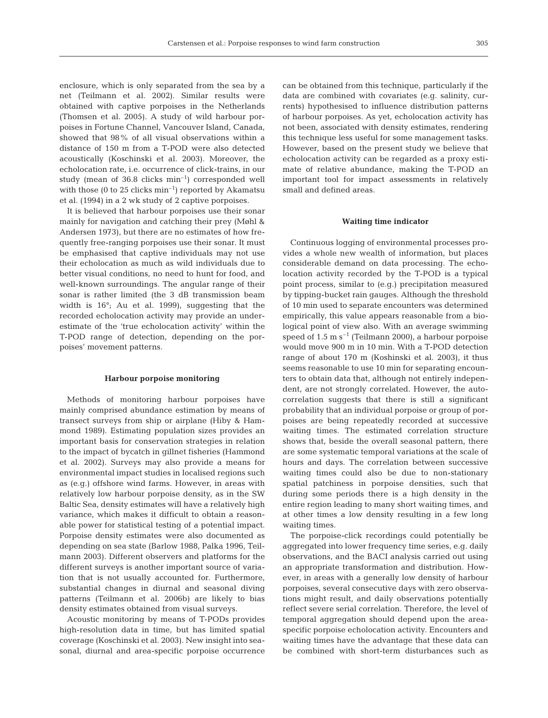enclosure, which is only separated from the sea by a net (Teilmann et al. 2002). Similar results were obtained with captive porpoises in the Netherlands (Thomsen et al. 2005). A study of wild harbour porpoises in Fortune Channel, Vancouver Island, Canada, showed that 98% of all visual observations within a distance of 150 m from a T-POD were also detected acoustically (Koschinski et al. 2003). Moreover, the echolocation rate, i.e. occurrence of click-trains, in our study (mean of 36.8 clicks min–1) corresponded well with those (0 to 25 clicks  $\min^{-1}$ ) reported by Akamatsu et al. (1994) in a 2 wk study of 2 captive porpoises.

It is believed that harbour porpoises use their sonar mainly for navigation and catching their prey (Møhl & Andersen 1973), but there are no estimates of how frequently free-ranging porpoises use their sonar. It must be emphasised that captive individuals may not use their echolocation as much as wild individuals due to better visual conditions, no need to hunt for food, and well-known surroundings. The angular range of their sonar is rather limited (the 3 dB transmission beam width is 16°; Au et al. 1999), suggesting that the recorded echolocation activity may provide an underestimate of the 'true echolocation activity' within the T-POD range of detection, depending on the porpoises' movement patterns.

#### **Harbour porpoise monitoring**

Methods of monitoring harbour porpoises have mainly comprised abundance estimation by means of transect surveys from ship or airplane (Hiby & Hammond 1989). Estimating population sizes provides an important basis for conservation strategies in relation to the impact of bycatch in gillnet fisheries (Hammond et al. 2002). Surveys may also provide a means for environmental impact studies in localised regions such as (e.g.) offshore wind farms. However, in areas with relatively low harbour porpoise density, as in the SW Baltic Sea, density estimates will have a relatively high variance, which makes it difficult to obtain a reasonable power for statistical testing of a potential impact. Porpoise density estimates were also documented as depending on sea state (Barlow 1988, Palka 1996, Teilmann 2003). Different observers and platforms for the different surveys is another important source of variation that is not usually accounted for. Furthermore, substantial changes in diurnal and seasonal diving patterns (Teilmann et al. 2006b) are likely to bias density estimates obtained from visual surveys.

Acoustic monitoring by means of T-PODs provides high-resolution data in time, but has limited spatial coverage (Koschinski et al. 2003). New insight into seasonal, diurnal and area-specific porpoise occurrence

can be obtained from this technique, particularly if the data are combined with covariates (e.g. salinity, currents) hypothesised to influence distribution patterns of harbour porpoises. As yet, echolocation activity has not been, associated with density estimates, rendering this technique less useful for some management tasks. However, based on the present study we believe that echolocation activity can be regarded as a proxy estimate of relative abundance, making the T-POD an important tool for impact assessments in relatively small and defined areas.

#### **Waiting time indicator**

Continuous logging of environmental processes provides a whole new wealth of information, but places considerable demand on data processing. The echolocation activity recorded by the T-POD is a typical point process, similar to (e.g.) precipitation measured by tipping-bucket rain gauges. Although the threshold of 10 min used to separate encounters was determined empirically, this value appears reasonable from a biological point of view also. With an average swimming speed of  $1.5 \text{ m s}^{-1}$  (Teilmann 2000), a harbour porpoise would move 900 m in 10 min. With a T-POD detection range of about 170 m (Koshinski et al. 2003), it thus seems reasonable to use 10 min for separating encounters to obtain data that, although not entirely independent, are not strongly correlated. However, the autocorrelation suggests that there is still a significant probability that an individual porpoise or group of porpoises are being repeatedly recorded at successive waiting times. The estimated correlation structure shows that, beside the overall seasonal pattern, there are some systematic temporal variations at the scale of hours and days. The correlation between successive waiting times could also be due to non-stationary spatial patchiness in porpoise densities, such that during some periods there is a high density in the entire region leading to many short waiting times, and at other times a low density resulting in a few long waiting times.

The porpoise-click recordings could potentially be aggregated into lower frequency time series, e.g. daily observations, and the BACI analysis carried out using an appropriate transformation and distribution. However, in areas with a generally low density of harbour porpoises, several consecutive days with zero observations might result, and daily observations potentially reflect severe serial correlation. Therefore, the level of temporal aggregation should depend upon the areaspecific porpoise echolocation activity. Encounters and waiting times have the advantage that these data can be combined with short-term disturbances such as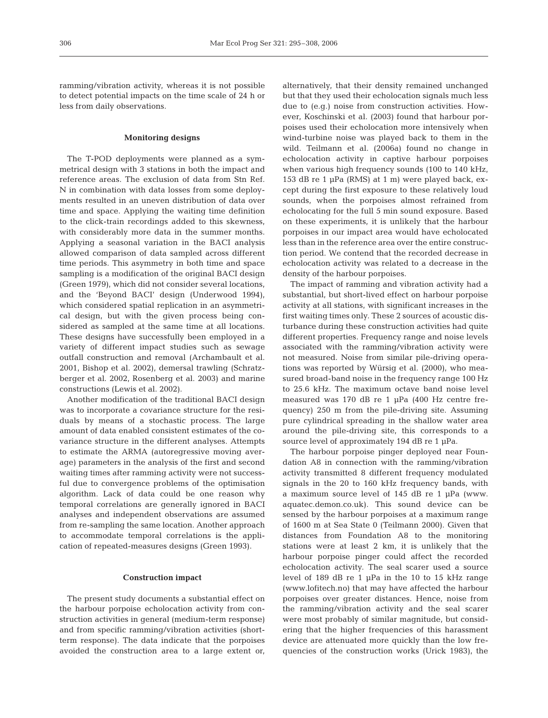ramming/vibration activity, whereas it is not possible to detect potential impacts on the time scale of 24 h or less from daily observations.

## **Monitoring designs**

The T-POD deployments were planned as a symmetrical design with 3 stations in both the impact and reference areas. The exclusion of data from Stn Ref. N in combination with data losses from some deployments resulted in an uneven distribution of data over time and space. Applying the waiting time definition to the click-train recordings added to this skewness, with considerably more data in the summer months. Applying a seasonal variation in the BACI analysis allowed comparison of data sampled across different time periods. This asymmetry in both time and space sampling is a modification of the original BACI design (Green 1979), which did not consider several locations, and the 'Beyond BACI' design (Underwood 1994), which considered spatial replication in an asymmetrical design, but with the given process being considered as sampled at the same time at all locations. These designs have successfully been employed in a variety of different impact studies such as sewage outfall construction and removal (Archambault et al. 2001, Bishop et al. 2002), demersal trawling (Schratzberger et al. 2002, Rosenberg et al. 2003) and marine constructions (Lewis et al. 2002).

Another modification of the traditional BACI design was to incorporate a covariance structure for the residuals by means of a stochastic process. The large amount of data enabled consistent estimates of the covariance structure in the different analyses. Attempts to estimate the ARMA (autoregressive moving average) parameters in the analysis of the first and second waiting times after ramming activity were not successful due to convergence problems of the optimisation algorithm. Lack of data could be one reason why temporal correlations are generally ignored in BACI analyses and independent observations are assumed from re-sampling the same location. Another approach to accommodate temporal correlations is the application of repeated-measures designs (Green 1993).

#### **Construction impact**

The present study documents a substantial effect on the harbour porpoise echolocation activity from construction activities in general (medium-term response) and from specific ramming/vibration activities (shortterm response). The data indicate that the porpoises avoided the construction area to a large extent or,

alternatively, that their density remained unchanged but that they used their echolocation signals much less due to (e.g.) noise from construction activities. However, Koschinski et al. (2003) found that harbour porpoises used their echolocation more intensively when wind-turbine noise was played back to them in the wild. Teilmann et al. (2006a) found no change in echolocation activity in captive harbour porpoises when various high frequency sounds (100 to 140 kHz, 153 dB re 1 μPa (RMS) at 1 m) were played back, except during the first exposure to these relatively loud sounds, when the porpoises almost refrained from echolocating for the full 5 min sound exposure. Based on these experiments, it is unlikely that the harbour porpoises in our impact area would have echolocated less than in the reference area over the entire construction period. We contend that the recorded decrease in echolocation activity was related to a decrease in the density of the harbour porpoises.

The impact of ramming and vibration activity had a substantial, but short-lived effect on harbour porpoise activity at all stations, with significant increases in the first waiting times only. These 2 sources of acoustic disturbance during these construction activities had quite different properties. Frequency range and noise levels associated with the ramming/vibration activity were not measured. Noise from similar pile-driving operations was reported by Würsig et al. (2000), who measured broad-band noise in the frequency range 100 Hz to 25.6 kHz. The maximum octave band noise level measured was 170 dB re 1 μPa (400 Hz centre frequency) 250 m from the pile-driving site. Assuming pure cylindrical spreading in the shallow water area around the pile-driving site, this corresponds to a source level of approximately 194 dB re 1 μPa.

The harbour porpoise pinger deployed near Foundation A8 in connection with the ramming/vibration activity transmitted 8 different frequency modulated signals in the 20 to 160 kHz frequency bands, with a maximum source level of 145 dB re 1 μPa (www. aquatec.demon.co.uk). This sound device can be sensed by the harbour porpoises at a maximum range of 1600 m at Sea State 0 (Teilmann 2000). Given that distances from Foundation A8 to the monitoring stations were at least 2 km, it is unlikely that the harbour porpoise pinger could affect the recorded echolocation activity. The seal scarer used a source level of 189 dB re 1 μPa in the 10 to 15 kHz range (www.lofitech.no) that may have affected the harbour porpoises over greater distances. Hence, noise from the ramming/vibration activity and the seal scarer were most probably of similar magnitude, but considering that the higher frequencies of this harassment device are attenuated more quickly than the low frequencies of the construction works (Urick 1983), the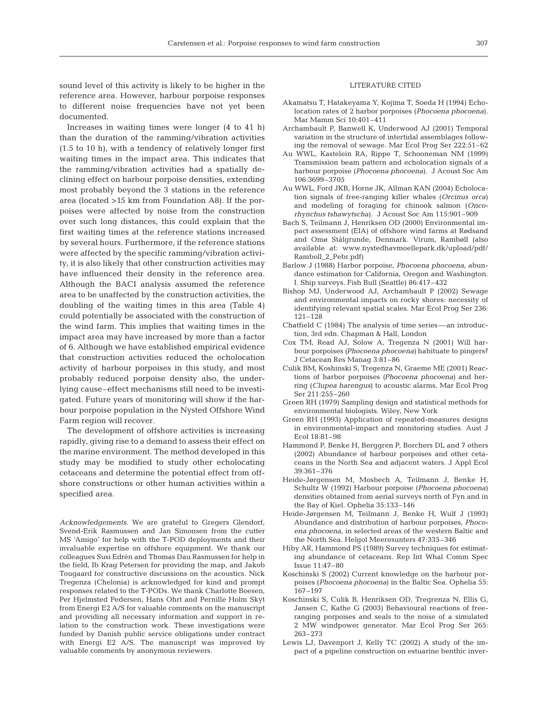sound level of this activity is likely to be higher in the reference area. However, harbour porpoise responses to different noise frequencies have not yet been documented.

Increases in waiting times were longer (4 to 41 h) than the duration of the ramming/vibration activities (1.5 to 10 h), with a tendency of relatively longer first waiting times in the impact area. This indicates that the ramming/vibration activities had a spatially declining effect on harbour porpoise densities, extending most probably beyond the 3 stations in the reference area (located >15 km from Foundation A8). If the porpoises were affected by noise from the construction over such long distances, this could explain that the first waiting times at the reference stations increased by several hours. Furthermore, if the reference stations were affected by the specific ramming/vibration activity, it is also likely that other construction activities may have influenced their density in the reference area. Although the BACI analysis assumed the reference area to be unaffected by the construction activities, the doubling of the waiting times in this area (Table 4) could potentially be associated with the construction of the wind farm. This implies that waiting times in the impact area may have increased by more than a factor of 6. Although we have established empirical evidence that construction activities reduced the echolocation activity of harbour porpoises in this study, and most probably reduced porpoise density also, the underlying cause–effect mechanisms still need to be investigated. Future years of monitoring will show if the harbour porpoise population in the Nysted Offshore Wind Farm region will recover.

The development of offshore activities is increasing rapidly, giving rise to a demand to assess their effect on the marine environment. The method developed in this study may be modified to study other echolocating cetaceans and determine the potential effect from offshore constructions or other human activities within a specified area.

*Acknowledgements.* We are grateful to Gregers Glendorf, Svend-Erik Rasmussen and Jan Simonsen from the cutter MS 'Amigo' for help with the T-POD deployments and their invaluable expertise on offshore equipment. We thank our colleagues Susi Edrén and Thomas Dau Rasmussen for help in the field, Ib Krag Petersen for providing the map, and Jakob Tougaard for constructive discussions on the acoustics. Nick Tregenza (Chelonia) is acknowledged for kind and prompt responses related to the T-PODs. We thank Charlotte Boesen, Per Hjelmsted Pedersen, Hans Ohrt and Pernille Holm Skyt from Energi E2 A/S for valuable comments on the manuscript and providing all necessary information and support in relation to the construction work. These investigations were funded by Danish public service obligations under contract with Energi E2 A/S. The manuscript was improved by valuable comments by anonymous reviewers.

## LITERATURE CITED

- Akamatsu T, Hatakeyama Y, Kojima T, Soeda H (1994) Echolocation rates of 2 harbor porpoises (*Phocoena phocoena*). Mar Mamm Sci 10:401–411
- Archambault P, Banwell K, Underwood AJ (2001) Temporal variation in the structure of intertidal assemblages following the removal of sewage. Mar Ecol Prog Ser 222:51–62
- Au WWL, Kastelein RA, Rippe T, Schooneman NM (1999) Transmission beam pattern and echolocation signals of a harbour porpoise (*Phocoena phocoena*). J Acoust Soc Am 106:3699–3705
- Au WWL, Ford JKB, Horne JK, Allman KAN (2004) Echolocation signals of free-ranging killer whales (*Orcinus orca*) and modeling of foraging for chinook salmon (*Oncorhynchus tshawytscha*). J Acoust Soc Am 115:901–909
- Bach S, Teilmann J, Henriksen OD (2000) Environmental impact assessment (EIA) of offshore wind farms at Rødsand and Omø Stålgrunde, Denmark. Virum, Rambøll (also available at: www.nystedhavmoellepark.dk/upload/pdf/ Ramboll\_2\_Pebr.pdf)
- Barlow J (1988) Harbor porpoise, *Phocoena phocoena*, abundance estimation for California, Oregon and Washington. I. Ship surveys. Fish Bull (Seattle) 86:417–432
- Bishop MJ, Underwood AJ, Archambault P (2002) Sewage and environmental impacts on rocky shores: necessity of identifying relevant spatial scales. Mar Ecol Prog Ser 236: 121–128
- Chatfield C (1984) The analysis of time series— an introduction, 3rd edn. Chapman & Hall, London
- Cox TM, Read AJ, Solow A, Tregenza N (2001) Will harbour porpoises *(Phocoena phocoena)* habituate to pingers? J Cetacean Res Manag 3:81–86
- Culik BM, Koshinski S, Tregenza N, Graeme ME (2001) Reactions of harbor porpoises *(Phocoena phocoena)* and herring (*Clupea harengus*) to acoustic alarms. Mar Ecol Prog Ser 211:255–260
- Green RH (1979) Sampling design and statistical methods for environmental biologists. Wiley, New York
- Green RH (1993) Application of repeated-measures designs in environmental-impact and monitoring studies. Aust J Ecol 18:81–98
- Hammond P, Benke H, Berggren P, Borchers DL and 7 others (2002) Abundance of harbour porpoises and other cetaceans in the North Sea and adjacent waters. J Appl Ecol 39:361–376
- Heide-Jørgensen M, Mosbech A, Teilmann J, Benke H, Schultz W (1992) Harbour porpoise (*Phocoena phocoena*) densities obtained from aerial surveys north of Fyn and in the Bay of Kiel. Ophelia 35:133–146
- Heide-Jørgensen M, Teilmann J, Benke H, Wulf J (1993) Abundance and distribution of harbour porpoises, *Phocoena phocoena*, in selected areas of the western Baltic and the North Sea. Helgol Meeresunters 47:335–346
- Hiby AR, Hammond PS (1989) Survey techniques for estimating abundance of cetaceans. Rep Int Whal Comm Spec Issue 11:47–80
- Koschinski S (2002) Current knowledge on the harbour porpoises (*Phocoena phocoena*) in the Baltic Sea. Ophelia 55: 167–197
- Koschinski S, Culik B, Henriksen OD, Tregrenza N, Ellis G, Jansen C, Kathe G (2003) Behavioural reactions of freeranging porpoises and seals to the noise of a simulated 2 MW windpower generator. Mar Ecol Prog Ser 265: 263–273
- Lewis LJ, Davenport J, Kelly TC (2002) A study of the impact of a pipeline construction on estuarine benthic inver-